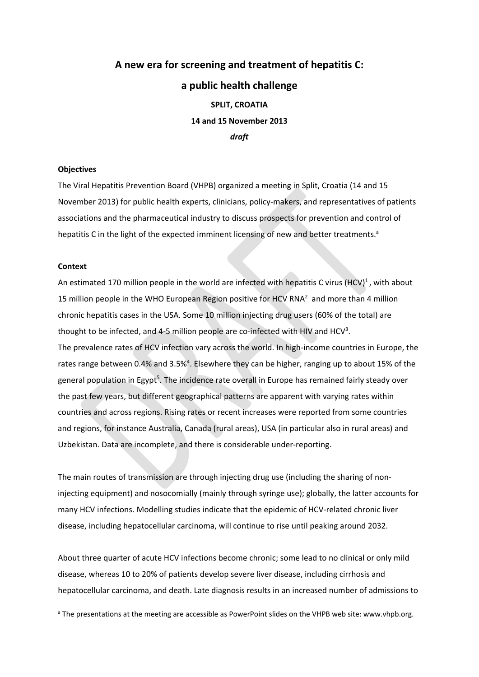# **A new era for screening and treatment of hepatitis C: a public health challenge SPLIT, CROATIA 14 and 15 November 2013** *draft*

## **Objectives**

The Viral Hepatitis Prevention Board (VHPB) organized a meeting in Split, Croatia (14 and 15 November 2013) for public health experts, clinicians, policy‐makers, and representatives of patients associations and the pharmaceutical industry to discuss prospects for prevention and control of hepatitis C in the light of the expected imminent licensing of new and better treatments.<sup>a</sup>

## **Context**

An estimated 170 million people in the world are infected with hepatitis C virus (HCV)<sup>1</sup>, with about 15 million people in the WHO European Region positive for HCV RNA<sup>2</sup> and more than 4 million chronic hepatitis cases in the USA. Some 10 million injecting drug users (60% of the total) are thought to be infected, and 4-5 million people are co-infected with HIV and HCV<sup>3</sup>. The prevalence rates of HCV infection vary across the world. In high-income countries in Europe, the rates range between 0.4% and 3.5%<sup>4</sup>. Elsewhere they can be higher, ranging up to about 15% of the general population in Egypt<sup>5</sup>. The incidence rate overall in Europe has remained fairly steady over the past few years, but different geographical patterns are apparent with varying rates within countries and across regions. Rising rates or recent increases were reported from some countries and regions, for instance Australia, Canada (rural areas), USA (in particular also in rural areas) and Uzbekistan. Data are incomplete, and there is considerable under‐reporting.

The main routes of transmission are through injecting drug use (including the sharing of non‐ injecting equipment) and nosocomially (mainly through syringe use); globally, the latter accounts for many HCV infections. Modelling studies indicate that the epidemic of HCV-related chronic liver disease, including hepatocellular carcinoma, will continue to rise until peaking around 2032.

About three quarter of acute HCV infections become chronic; some lead to no clinical or only mild disease, whereas 10 to 20% of patients develop severe liver disease, including cirrhosis and hepatocellular carcinoma, and death. Late diagnosis results in an increased number of admissions to

<sup>&</sup>lt;sup>a</sup> The presentations at the meeting are accessible as PowerPoint slides on the VHPB web site: www.vhpb.org.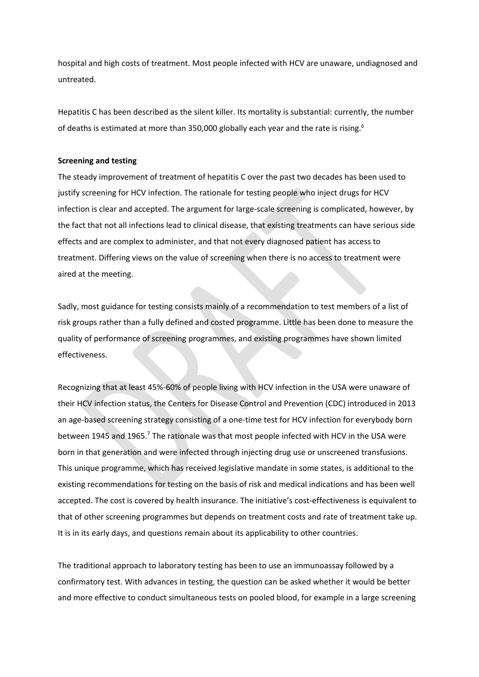hospital and high costs of treatment. Most people infected with HCV are unaware, undiagnosed and untreated.

Hepatitis C has been described as the silent killer. Its mortality is substantial: currently, the number of deaths is estimated at more than 350,000 globally each year and the rate is rising.<sup>6</sup>

## **Screening and testing**

The steady improvement of treatment of hepatitis C over the past two decades has been used to justify screening for HCV infection. The rationale for testing people who inject drugs for HCV infection is clear and accepted. The argument for large‐scale screening is complicated, however, by the fact that not all infections lead to clinical disease, that existing treatments can have serious side effects and are complex to administer, and that not every diagnosed patient has access to treatment. Differing views on the value of screening when there is no access to treatment were aired at the meeting.

Sadly, most guidance for testing consists mainly of a recommendation to test members of a list of risk groups rather than a fully defined and costed programme. Little has been done to measure the quality of performance of screening programmes, and existing programmes have shown limited effectiveness.

Recognizing that at least 45%‐60% of people living with HCV infection in the USA were unaware of their HCV infection status, the Centers for Disease Control and Prevention (CDC) introduced in 2013 an age-based screening strategy consisting of a one-time test for HCV infection for everybody born between 1945 and 1965.<sup>7</sup> The rationale was that most people infected with HCV in the USA were born in that generation and were infected through injecting drug use or unscreened transfusions. This unique programme, which has received legislative mandate in some states, is additional to the existing recommendations for testing on the basis of risk and medical indications and has been well accepted. The cost is covered by health insurance. The initiative's cost-effectiveness is equivalent to that of other screening programmes but depends on treatment costs and rate of treatment take up. It is in its early days, and questions remain about its applicability to other countries.

The traditional approach to laboratory testing has been to use an immunoassay followed by a confirmatory test. With advances in testing, the question can be asked whether it would be better and more effective to conduct simultaneous tests on pooled blood, for example in a large screening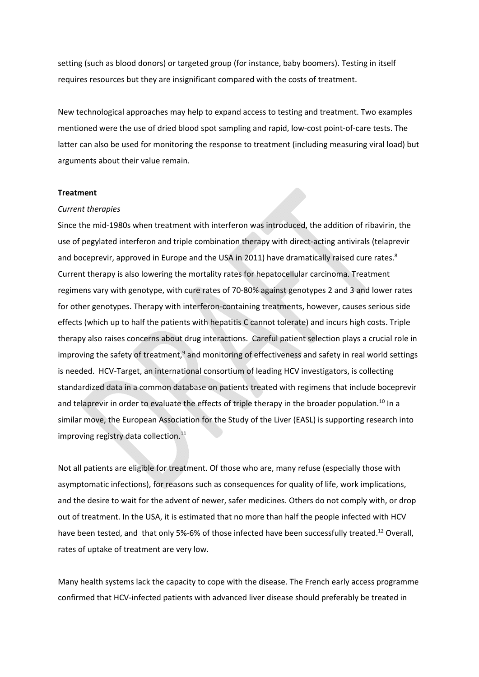setting (such as blood donors) or targeted group (for instance, baby boomers). Testing in itself requires resources but they are insignificant compared with the costs of treatment.

New technological approaches may help to expand access to testing and treatment. Two examples mentioned were the use of dried blood spot sampling and rapid, low‐cost point‐of‐care tests. The latter can also be used for monitoring the response to treatment (including measuring viral load) but arguments about their value remain.

### **Treatment**

#### *Current therapies*

Since the mid-1980s when treatment with interferon was introduced, the addition of ribavirin, the use of pegylated interferon and triple combination therapy with direct-acting antivirals (telaprevir and boceprevir, approved in Europe and the USA in 2011) have dramatically raised cure rates. $8$ Current therapy is also lowering the mortality rates for hepatocellular carcinoma. Treatment regimens vary with genotype, with cure rates of 70‐80% against genotypes 2 and 3 and lower rates for other genotypes. Therapy with interferon-containing treatments, however, causes serious side effects (which up to half the patients with hepatitis C cannot tolerate) and incurs high costs. Triple therapy also raises concerns about drug interactions. Careful patient selection plays a crucial role in improving the safety of treatment, $9$  and monitoring of effectiveness and safety in real world settings is needed. HCV‐Target, an international consortium of leading HCV investigators, is collecting standardized data in a common database on patients treated with regimens that include boceprevir and telaprevir in order to evaluate the effects of triple therapy in the broader population.<sup>10</sup> In a similar move, the European Association for the Study of the Liver (EASL) is supporting research into improving registry data collection.<sup>11</sup>

Not all patients are eligible for treatment. Of those who are, many refuse (especially those with asymptomatic infections), for reasons such as consequences for quality of life, work implications, and the desire to wait for the advent of newer, safer medicines. Others do not comply with, or drop out of treatment. In the USA, it is estimated that no more than half the people infected with HCV have been tested, and that only 5%-6% of those infected have been successfully treated.<sup>12</sup> Overall, rates of uptake of treatment are very low.

Many health systems lack the capacity to cope with the disease. The French early access programme confirmed that HCV‐infected patients with advanced liver disease should preferably be treated in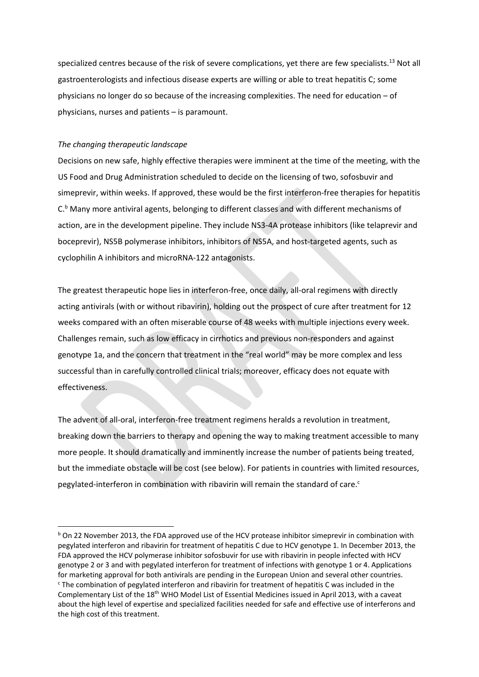specialized centres because of the risk of severe complications, yet there are few specialists.<sup>13</sup> Not all gastroenterologists and infectious disease experts are willing or able to treat hepatitis C; some physicians no longer do so because of the increasing complexities. The need for education – of physicians, nurses and patients – is paramount.

## *The changing therapeutic landscape*

Decisions on new safe, highly effective therapies were imminent at the time of the meeting, with the US Food and Drug Administration scheduled to decide on the licensing of two, sofosbuvir and simeprevir, within weeks. If approved, these would be the first interferon-free therapies for hepatitis C.<sup>b</sup> Many more antiviral agents, belonging to different classes and with different mechanisms of action, are in the development pipeline. They include NS3‐4A protease inhibitors (like telaprevir and boceprevir), NS5B polymerase inhibitors, inhibitors of NS5A, and host-targeted agents, such as cyclophilin A inhibitors and microRNA‐122 antagonists.

The greatest therapeutic hope lies in interferon-free, once daily, all-oral regimens with directly acting antivirals (with or without ribavirin), holding out the prospect of cure after treatment for 12 weeks compared with an often miserable course of 48 weeks with multiple injections every week. Challenges remain, such as low efficacy in cirrhotics and previous non‐responders and against genotype 1a, and the concern that treatment in the "real world" may be more complex and less successful than in carefully controlled clinical trials; moreover, efficacy does not equate with effectiveness.

The advent of all‐oral, interferon‐free treatment regimens heralds a revolution in treatment, breaking down the barriers to therapy and opening the way to making treatment accessible to many more people. It should dramatically and imminently increase the number of patients being treated, but the immediate obstacle will be cost (see below). For patients in countries with limited resources, pegylated-interferon in combination with ribavirin will remain the standard of care. $c$ 

 $b$  On 22 November 2013, the FDA approved use of the HCV protease inhibitor simeprevir in combination with pegylated interferon and ribavirin for treatment of hepatitis C due to HCV genotype 1. In December 2013, the FDA approved the HCV polymerase inhibitor sofosbuvir for use with ribavirin in people infected with HCV genotype 2 or 3 and with pegylated interferon for treatment of infections with genotype 1 or 4. Applications for marketing approval for both antivirals are pending in the European Union and several other countries. <sup>c</sup> The combination of pegylated interferon and ribavirin for treatment of hepatitis C was included in the Complementary List of the 18<sup>th</sup> WHO Model List of Essential Medicines issued in April 2013, with a caveat about the high level of expertise and specialized facilities needed for safe and effective use of interferons and the high cost of this treatment.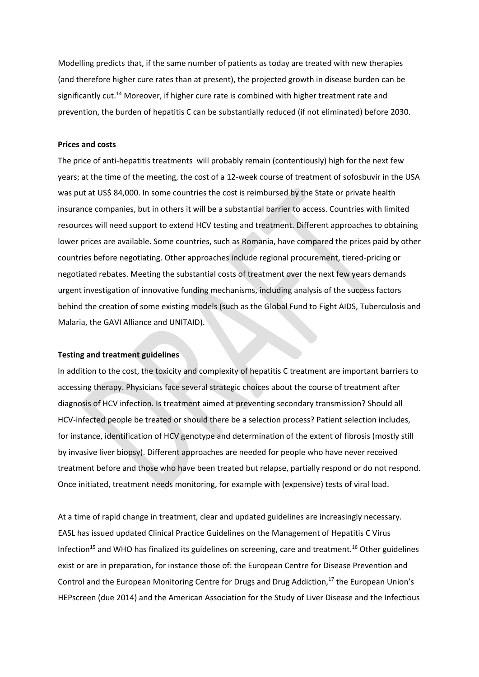Modelling predicts that, if the same number of patients as today are treated with new therapies (and therefore higher cure rates than at present), the projected growth in disease burden can be significantly cut.<sup>14</sup> Moreover, if higher cure rate is combined with higher treatment rate and prevention, the burden of hepatitis C can be substantially reduced (if not eliminated) before 2030.

## **Prices and costs**

The price of anti-hepatitis treatments will probably remain (contentiously) high for the next few years; at the time of the meeting, the cost of a 12‐week course of treatment of sofosbuvir in the USA was put at US\$ 84,000. In some countries the cost is reimbursed by the State or private health insurance companies, but in others it will be a substantial barrier to access. Countries with limited resources will need support to extend HCV testing and treatment. Different approaches to obtaining lower prices are available. Some countries, such as Romania, have compared the prices paid by other countries before negotiating. Other approaches include regional procurement, tiered‐pricing or negotiated rebates. Meeting the substantial costs of treatment over the next few years demands urgent investigation of innovative funding mechanisms, including analysis of the success factors behind the creation of some existing models (such as the Global Fund to Fight AIDS, Tuberculosis and Malaria, the GAVI Alliance and UNITAID).

#### **Testing and treatment guidelines**

In addition to the cost, the toxicity and complexity of hepatitis C treatment are important barriers to accessing therapy. Physicians face several strategic choices about the course of treatment after diagnosis of HCV infection. Is treatment aimed at preventing secondary transmission? Should all HCV‐infected people be treated or should there be a selection process? Patient selection includes, for instance, identification of HCV genotype and determination of the extent of fibrosis (mostly still by invasive liver biopsy). Different approaches are needed for people who have never received treatment before and those who have been treated but relapse, partially respond or do not respond. Once initiated, treatment needs monitoring, for example with (expensive) tests of viral load.

At a time of rapid change in treatment, clear and updated guidelines are increasingly necessary. EASL has issued updated Clinical Practice Guidelines on the Management of Hepatitis C Virus Infection<sup>15</sup> and WHO has finalized its guidelines on screening, care and treatment.<sup>16</sup> Other guidelines exist or are in preparation, for instance those of: the European Centre for Disease Prevention and Control and the European Monitoring Centre for Drugs and Drug Addiction,<sup>17</sup> the European Union's HEPscreen (due 2014) and the American Association for the Study of Liver Disease and the Infectious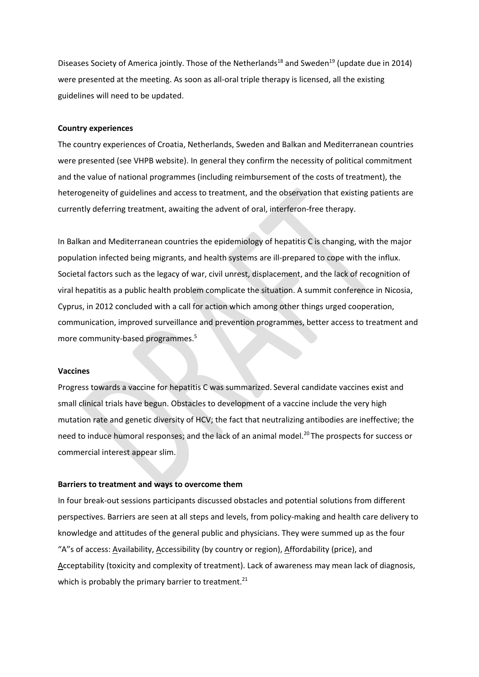Diseases Society of America jointly. Those of the Netherlands<sup>18</sup> and Sweden<sup>19</sup> (update due in 2014) were presented at the meeting. As soon as all-oral triple therapy is licensed, all the existing guidelines will need to be updated.

#### **Country experiences**

The country experiences of Croatia, Netherlands, Sweden and Balkan and Mediterranean countries were presented (see VHPB website). In general they confirm the necessity of political commitment and the value of national programmes (including reimbursement of the costs of treatment), the heterogeneity of guidelines and access to treatment, and the observation that existing patients are currently deferring treatment, awaiting the advent of oral, interferon‐free therapy.

In Balkan and Mediterranean countries the epidemiology of hepatitis C is changing, with the major population infected being migrants, and health systems are ill‐prepared to cope with the influx. Societal factors such as the legacy of war, civil unrest, displacement, and the lack of recognition of viral hepatitis as a public health problem complicate the situation. A summit conference in Nicosia, Cyprus, in 2012 concluded with a call for action which among other things urged cooperation, communication, improved surveillance and prevention programmes, better access to treatment and more community-based programmes.<sup>5</sup>

#### **Vaccines**

Progress towards a vaccine for hepatitis C was summarized. Several candidate vaccines exist and small clinical trials have begun. Obstacles to development of a vaccine include the very high mutation rate and genetic diversity of HCV; the fact that neutralizing antibodies are ineffective; the need to induce humoral responses; and the lack of an animal model.<sup>20</sup> The prospects for success or commercial interest appear slim.

#### **Barriers to treatment and ways to overcome them**

In four break‐out sessions participants discussed obstacles and potential solutions from different perspectives. Barriers are seen at all steps and levels, from policy-making and health care delivery to knowledge and attitudes of the general public and physicians. They were summed up as the four "A"s of access: Availability, Accessibility (by country or region), Affordability (price), and Acceptability (toxicity and complexity of treatment). Lack of awareness may mean lack of diagnosis, which is probably the primary barrier to treatment.<sup>21</sup>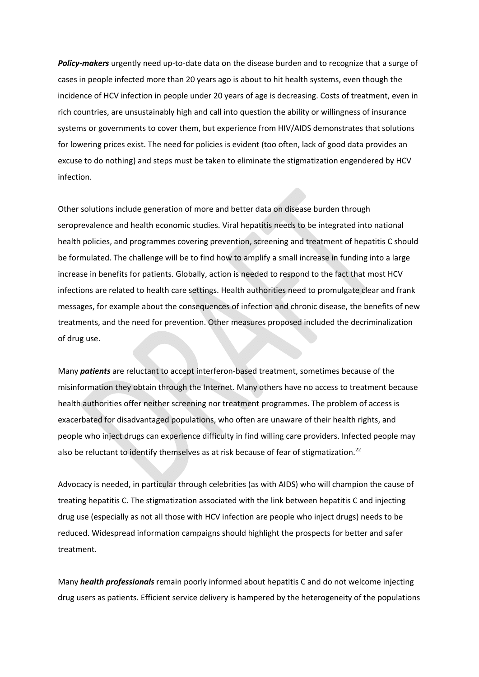**Policy-makers** urgently need up-to-date data on the disease burden and to recognize that a surge of cases in people infected more than 20 years ago is about to hit health systems, even though the incidence of HCV infection in people under 20 years of age is decreasing. Costs of treatment, even in rich countries, are unsustainably high and call into question the ability or willingness of insurance systems or governments to cover them, but experience from HIV/AIDS demonstrates that solutions for lowering prices exist. The need for policies is evident (too often, lack of good data provides an excuse to do nothing) and steps must be taken to eliminate the stigmatization engendered by HCV infection.

Other solutions include generation of more and better data on disease burden through seroprevalence and health economic studies. Viral hepatitis needs to be integrated into national health policies, and programmes covering prevention, screening and treatment of hepatitis C should be formulated. The challenge will be to find how to amplify a small increase in funding into a large increase in benefits for patients. Globally, action is needed to respond to the fact that most HCV infections are related to health care settings. Health authorities need to promulgate clear and frank messages, for example about the consequences of infection and chronic disease, the benefits of new treatments, and the need for prevention. Other measures proposed included the decriminalization of drug use.

Many *patients* are reluctant to accept interferon‐based treatment, sometimes because of the misinformation they obtain through the Internet. Many others have no access to treatment because health authorities offer neither screening nor treatment programmes. The problem of access is exacerbated for disadvantaged populations, who often are unaware of their health rights, and people who inject drugs can experience difficulty in find willing care providers. Infected people may also be reluctant to identify themselves as at risk because of fear of stigmatization.<sup>22</sup>

Advocacy is needed, in particular through celebrities (as with AIDS) who will champion the cause of treating hepatitis C. The stigmatization associated with the link between hepatitis C and injecting drug use (especially as not all those with HCV infection are people who inject drugs) needs to be reduced. Widespread information campaigns should highlight the prospects for better and safer treatment.

Many *health professionals* remain poorly informed about hepatitis C and do not welcome injecting drug users as patients. Efficient service delivery is hampered by the heterogeneity of the populations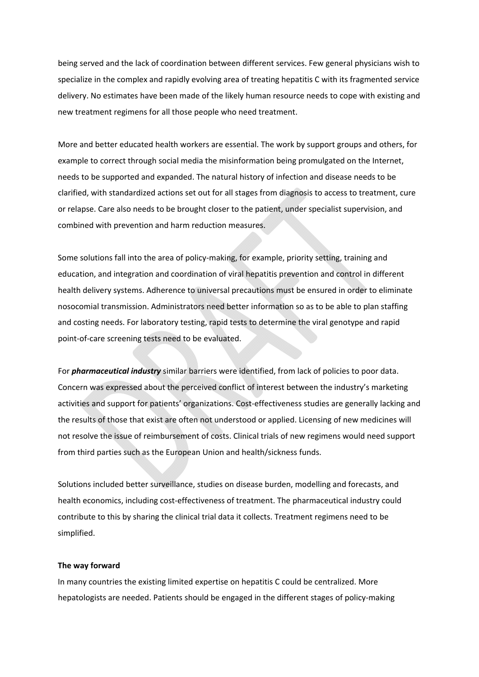being served and the lack of coordination between different services. Few general physicians wish to specialize in the complex and rapidly evolving area of treating hepatitis C with its fragmented service delivery. No estimates have been made of the likely human resource needs to cope with existing and new treatment regimens for all those people who need treatment.

More and better educated health workers are essential. The work by support groups and others, for example to correct through social media the misinformation being promulgated on the Internet, needs to be supported and expanded. The natural history of infection and disease needs to be clarified, with standardized actions set out for all stages from diagnosis to access to treatment, cure or relapse. Care also needs to be brought closer to the patient, under specialist supervision, and combined with prevention and harm reduction measures.

Some solutions fall into the area of policy-making, for example, priority setting, training and education, and integration and coordination of viral hepatitis prevention and control in different health delivery systems. Adherence to universal precautions must be ensured in order to eliminate nosocomial transmission. Administrators need better information so as to be able to plan staffing and costing needs. For laboratory testing, rapid tests to determine the viral genotype and rapid point‐of‐care screening tests need to be evaluated.

For *pharmaceutical industry* similar barriers were identified, from lack of policies to poor data. Concern was expressed about the perceived conflict of interest between the industry's marketing activities and support for patients' organizations. Cost‐effectiveness studies are generally lacking and the results of those that exist are often not understood or applied. Licensing of new medicines will not resolve the issue of reimbursement of costs. Clinical trials of new regimens would need support from third parties such as the European Union and health/sickness funds.

Solutions included better surveillance, studies on disease burden, modelling and forecasts, and health economics, including cost-effectiveness of treatment. The pharmaceutical industry could contribute to this by sharing the clinical trial data it collects. Treatment regimens need to be simplified.

#### **The way forward**

In many countries the existing limited expertise on hepatitis C could be centralized. More hepatologists are needed. Patients should be engaged in the different stages of policy-making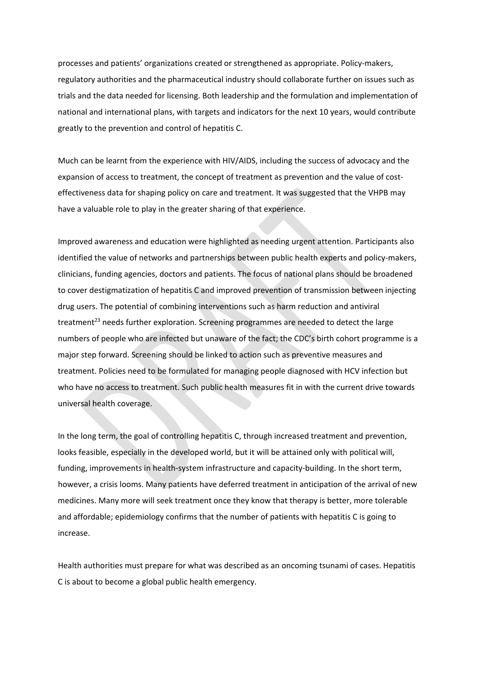processes and patients' organizations created or strengthened as appropriate. Policy‐makers, regulatory authorities and the pharmaceutical industry should collaborate further on issues such as trials and the data needed for licensing. Both leadership and the formulation and implementation of national and international plans, with targets and indicators for the next 10 years, would contribute greatly to the prevention and control of hepatitis C.

Much can be learnt from the experience with HIV/AIDS, including the success of advocacy and the expansion of access to treatment, the concept of treatment as prevention and the value of costeffectiveness data for shaping policy on care and treatment. It was suggested that the VHPB may have a valuable role to play in the greater sharing of that experience.

Improved awareness and education were highlighted as needing urgent attention. Participants also identified the value of networks and partnerships between public health experts and policy‐makers, clinicians, funding agencies, doctors and patients. The focus of national plans should be broadened to cover destigmatization of hepatitis C and improved prevention of transmission between injecting drug users. The potential of combining interventions such as harm reduction and antiviral treatment<sup>23</sup> needs further exploration. Screening programmes are needed to detect the large numbers of people who are infected but unaware of the fact; the CDC's birth cohort programme is a major step forward. Screening should be linked to action such as preventive measures and treatment. Policies need to be formulated for managing people diagnosed with HCV infection but who have no access to treatment. Such public health measures fit in with the current drive towards universal health coverage.

In the long term, the goal of controlling hepatitis C, through increased treatment and prevention, looks feasible, especially in the developed world, but it will be attained only with political will, funding, improvements in health-system infrastructure and capacity-building. In the short term, however, a crisis looms. Many patients have deferred treatment in anticipation of the arrival of new medicines. Many more will seek treatment once they know that therapy is better, more tolerable and affordable; epidemiology confirms that the number of patients with hepatitis C is going to increase.

Health authorities must prepare for what was described as an oncoming tsunami of cases. Hepatitis C is about to become a global public health emergency.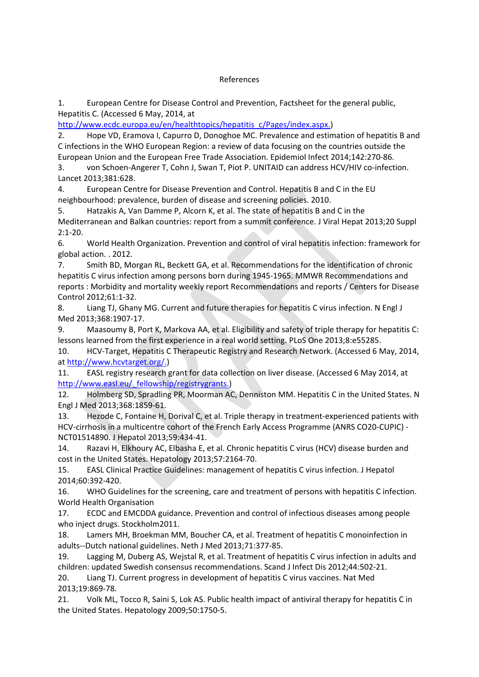## References

1. European Centre for Disease Control and Prevention, Factsheet for the general public, Hepatitis C. (Accessed 6 May, 2014, at

http://www.ecdc.europa.eu/en/healthtopics/hepatitis\_c/Pages/index.aspx.)

2. Hope VD, Eramova I, Capurro D, Donoghoe MC. Prevalence and estimation of hepatitis B and C infections in the WHO European Region: a review of data focusing on the countries outside the European Union and the European Free Trade Association. Epidemiol Infect 2014;142:270‐86.

3. von Schoen-Angerer T, Cohn J, Swan T, Piot P. UNITAID can address HCV/HIV co-infection. Lancet 2013;381:628.

4. European Centre for Disease Prevention and Control. Hepatitis B and C in the EU neighbourhood: prevalence, burden of disease and screening policies. 2010.

5. Hatzakis A, Van Damme P, Alcorn K, et al. The state of hepatitis B and C in the Mediterranean and Balkan countries: report from a summit conference. J Viral Hepat 2013;20 Suppl 2:1‐20.

6. World Health Organization. Prevention and control of viral hepatitis infection: framework for global action. . 2012.

7. Smith BD, Morgan RL, Beckett GA, et al. Recommendations for the identification of chronic hepatitis C virus infection among persons born during 1945‐1965. MMWR Recommendations and reports : Morbidity and mortality weekly report Recommendations and reports / Centers for Disease Control 2012;61:1‐32.

8. Liang TJ, Ghany MG. Current and future therapies for hepatitis C virus infection. N Engl J Med 2013;368:1907‐17.

9. Maasoumy B, Port K, Markova AA, et al. Eligibility and safety of triple therapy for hepatitis C: lessons learned from the first experience in a real world setting. PLoS One 2013;8:e55285.

10. HCV‐Target, Hepatitis C Therapeutic Registry and Research Network. (Accessed 6 May, 2014, at http://www.hcvtarget.org/.)

11. EASL registry research grant for data collection on liver disease. (Accessed 6 May 2014, at http://www.easl.eu/ fellowship/registrygrants.)

12. Holmberg SD, Spradling PR, Moorman AC, Denniston MM. Hepatitis C in the United States. N Engl J Med 2013;368:1859‐61.

13. Hezode C, Fontaine H, Dorival C, et al. Triple therapy in treatment‐experienced patients with HCV-cirrhosis in a multicentre cohort of the French Early Access Programme (ANRS CO20-CUPIC) -NCT01514890. J Hepatol 2013;59:434‐41.

14. Razavi H, Elkhoury AC, Elbasha E, et al. Chronic hepatitis C virus (HCV) disease burden and cost in the United States. Hepatology 2013;57:2164‐70.

15. EASL Clinical Practice Guidelines: management of hepatitis C virus infection. J Hepatol 2014;60:392‐420.

16. WHO Guidelines for the screening, care and treatment of persons with hepatitis C infection. World Health Organisation

17. ECDC and EMCDDA guidance. Prevention and control of infectious diseases among people who inject drugs. Stockholm2011.

18. Lamers MH, Broekman MM, Boucher CA, et al. Treatment of hepatitis C monoinfection in adults‐‐Dutch national guidelines. Neth J Med 2013;71:377‐85.

19. Lagging M, Duberg AS, Wejstal R, et al. Treatment of hepatitis C virus infection in adults and children: updated Swedish consensus recommendations. Scand J Infect Dis 2012;44:502‐21. 20. Liang TJ. Current progress in development of hepatitis C virus vaccines. Nat Med 2013;19:869‐78.

21. Volk ML, Tocco R, Saini S, Lok AS. Public health impact of antiviral therapy for hepatitis C in the United States. Hepatology 2009;50:1750‐5.